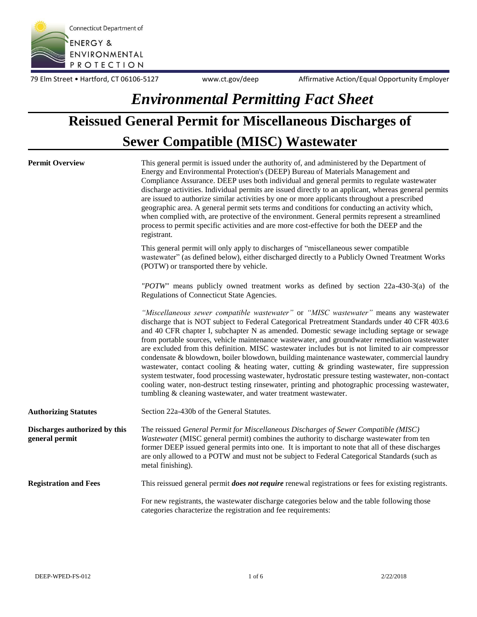

79 Elm Street • Hartford, CT 06106-5127 www.ct.gov/deep Affirmative Action/Equal Opportunity Employer

## *Environmental Permitting Fact Sheet*

# **Reissued General Permit for Miscellaneous Discharges of Sewer Compatible (MISC) Wastewater**

| <b>Permit Overview</b>                          | This general permit is issued under the authority of, and administered by the Department of<br>Energy and Environmental Protection's (DEEP) Bureau of Materials Management and<br>Compliance Assurance. DEEP uses both individual and general permits to regulate wastewater<br>discharge activities. Individual permits are issued directly to an applicant, whereas general permits<br>are issued to authorize similar activities by one or more applicants throughout a prescribed<br>geographic area. A general permit sets terms and conditions for conducting an activity which,<br>when complied with, are protective of the environment. General permits represent a streamlined<br>process to permit specific activities and are more cost-effective for both the DEEP and the<br>registrant.                                                                                                                                                                       |
|-------------------------------------------------|------------------------------------------------------------------------------------------------------------------------------------------------------------------------------------------------------------------------------------------------------------------------------------------------------------------------------------------------------------------------------------------------------------------------------------------------------------------------------------------------------------------------------------------------------------------------------------------------------------------------------------------------------------------------------------------------------------------------------------------------------------------------------------------------------------------------------------------------------------------------------------------------------------------------------------------------------------------------------|
|                                                 | This general permit will only apply to discharges of "miscellaneous sewer compatible<br>wastewater" (as defined below), either discharged directly to a Publicly Owned Treatment Works<br>(POTW) or transported there by vehicle.                                                                                                                                                                                                                                                                                                                                                                                                                                                                                                                                                                                                                                                                                                                                            |
|                                                 | "POTW" means publicly owned treatment works as defined by section $22a-430-3(a)$ of the<br>Regulations of Connecticut State Agencies.                                                                                                                                                                                                                                                                                                                                                                                                                                                                                                                                                                                                                                                                                                                                                                                                                                        |
|                                                 | "Miscellaneous sewer compatible wastewater" or "MISC wastewater" means any wastewater<br>discharge that is NOT subject to Federal Categorical Pretreatment Standards under 40 CFR 403.6<br>and 40 CFR chapter I, subchapter N as amended. Domestic sewage including septage or sewage<br>from portable sources, vehicle maintenance wastewater, and groundwater remediation wastewater<br>are excluded from this definition. MISC wastewater includes but is not limited to air compressor<br>condensate & blowdown, boiler blowdown, building maintenance wastewater, commercial laundry<br>wastewater, contact cooling $\&$ heating water, cutting $\&$ grinding wastewater, fire suppression<br>system testwater, food processing wastewater, hydrostatic pressure testing wastewater, non-contact<br>cooling water, non-destruct testing rinsewater, printing and photographic processing wastewater,<br>tumbling & cleaning wastewater, and water treatment wastewater. |
| <b>Authorizing Statutes</b>                     | Section 22a-430b of the General Statutes.                                                                                                                                                                                                                                                                                                                                                                                                                                                                                                                                                                                                                                                                                                                                                                                                                                                                                                                                    |
| Discharges authorized by this<br>general permit | The reissued General Permit for Miscellaneous Discharges of Sewer Compatible (MISC)<br>Wastewater (MISC general permit) combines the authority to discharge wastewater from ten<br>former DEEP issued general permits into one. It is important to note that all of these discharges<br>are only allowed to a POTW and must not be subject to Federal Categorical Standards (such as<br>metal finishing).                                                                                                                                                                                                                                                                                                                                                                                                                                                                                                                                                                    |
| <b>Registration and Fees</b>                    | This reissued general permit <i>does not require</i> renewal registrations or fees for existing registrants.                                                                                                                                                                                                                                                                                                                                                                                                                                                                                                                                                                                                                                                                                                                                                                                                                                                                 |
|                                                 | For new registrants, the wastewater discharge categories below and the table following those<br>categories characterize the registration and fee requirements:                                                                                                                                                                                                                                                                                                                                                                                                                                                                                                                                                                                                                                                                                                                                                                                                               |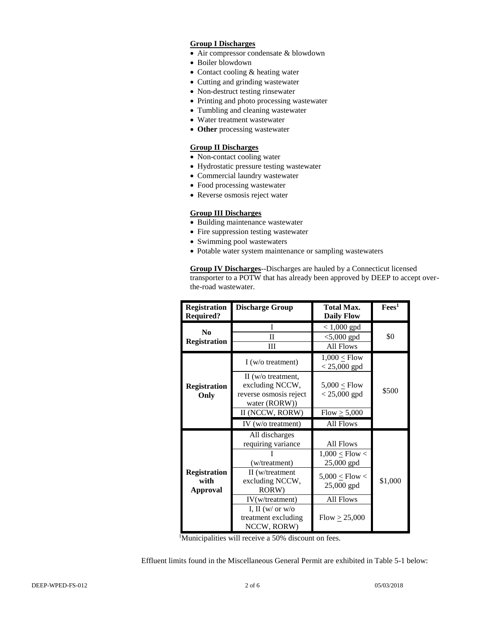### **Group I Discharges**

- Air compressor condensate & blowdown
- Boiler blowdown
- Contact cooling & heating water
- Cutting and grinding wastewater
- Non-destruct testing rinsewater
- Printing and photo processing wastewater
- Tumbling and cleaning wastewater
- Water treatment wastewater
- **Other** processing wastewater

#### **Group II Discharges**

- Non-contact cooling water
- Hydrostatic pressure testing wastewater
- Commercial laundry wastewater
- Food processing wastewater
- Reverse osmosis reject water

#### **Group III Discharges**

- Building maintenance wastewater
- Fire suppression testing wastewater
- Swimming pool wastewaters
- Potable water system maintenance or sampling wastewaters

**Group IV Discharges**--Discharges are hauled by a Connecticut licensed transporter to a POTW that has already been approved by DEEP to accept overthe-road wastewater.

| <b>Registration</b><br><b>Required?</b> | <b>Discharge Group</b>                                                               | <b>Total Max.</b><br><b>Daily Flow</b>                               | Fees <sup>1</sup> |
|-----------------------------------------|--------------------------------------------------------------------------------------|----------------------------------------------------------------------|-------------------|
| N <sub>0</sub><br><b>Registration</b>   | $\mathbf{I}$<br>Ш                                                                    | $< 1,000$ gpd<br>$< 5,000$ gpd<br>All Flows                          | \$0               |
|                                         | $I(w/o)$ treatment)                                                                  | $1,000 \leq$ Flow<br>$< 25,000$ gpd                                  |                   |
| <b>Registration</b><br>Only             | II ( $w$ /o treatment,<br>excluding NCCW,<br>reverse osmosis reject<br>water (RORW)) | $5,000 \leq$ Flow<br>$< 25,000$ gpd                                  | \$500             |
|                                         | II (NCCW, RORW)<br>IV ( $w$ /o treatment)                                            | $Flow \geq 5,000$<br>All Flows                                       |                   |
| <b>Registration</b>                     | All discharges<br>requiring variance<br>(w/treatment)<br>II (w/treatment             | All Flows<br>$1,000 <$ Flow <<br>$25,000$ gpd<br>$5,000 \leq$ Flow < |                   |
| with<br><b>Approval</b>                 | excluding NCCW,<br>RORW)<br>IV(w/treatment)                                          | $25,000$ gpd<br><b>All Flows</b>                                     | \$1,000           |
|                                         | I, II ( $w/$ or $w/o$<br>treatment excluding<br>NCCW, RORW)                          | $Flow \geq 25,000$                                                   |                   |

<sup>1</sup>Municipalities will receive a 50% discount on fees.

Effluent limits found in the Miscellaneous General Permit are exhibited in Table 5-1 below: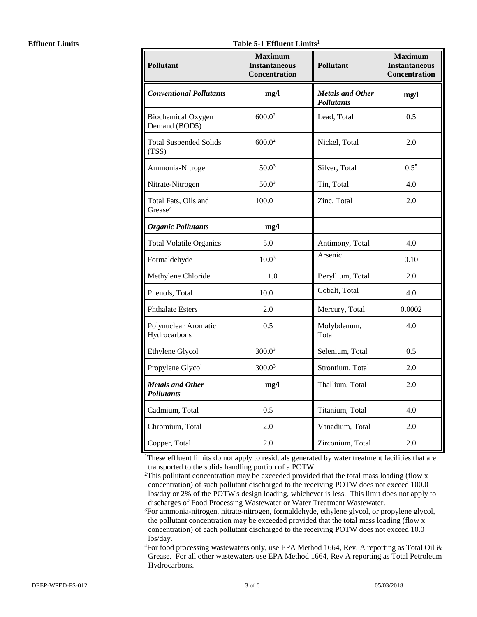**Effluent Limits** Table 5-1 Effluent Limits<sup>1</sup>

| <b>Pollutant</b>                             | <b>Maximum</b><br><b>Instantaneous</b><br><b>Concentration</b> | <b>Pollutant</b>                             | <b>Maximum</b><br><b>Instantaneous</b><br><b>Concentration</b> |
|----------------------------------------------|----------------------------------------------------------------|----------------------------------------------|----------------------------------------------------------------|
| <b>Conventional Pollutants</b>               | mg/l                                                           | <b>Metals and Other</b><br><b>Pollutants</b> | mg/l                                                           |
| <b>Biochemical Oxygen</b><br>Demand (BOD5)   | 600.0 <sup>2</sup>                                             | Lead, Total                                  | 0.5                                                            |
| <b>Total Suspended Solids</b><br>(TSS)       | 600.02                                                         | Nickel, Total                                | 2.0                                                            |
| Ammonia-Nitrogen                             | $50.0^3$                                                       | Silver, Total                                | $0.5^{5}$                                                      |
| Nitrate-Nitrogen                             | $50.0^3$                                                       | Tin, Total                                   | 4.0                                                            |
| Total Fats, Oils and<br>Grease <sup>4</sup>  | 100.0                                                          | Zinc, Total                                  | 2.0                                                            |
| <b>Organic Pollutants</b>                    | mg/l                                                           |                                              |                                                                |
| <b>Total Volatile Organics</b>               | 5.0                                                            | Antimony, Total                              | 4.0                                                            |
| Formaldehyde                                 | $10.0^{3}$                                                     | Arsenic                                      | 0.10                                                           |
| Methylene Chloride                           | 1.0                                                            | Beryllium, Total                             | 2.0                                                            |
| Phenols, Total                               | 10.0                                                           | Cobalt, Total                                | 4.0                                                            |
| <b>Phthalate Esters</b>                      | 2.0                                                            | Mercury, Total                               | 0.0002                                                         |
| Polynuclear Aromatic<br>Hydrocarbons         | 0.5                                                            | Molybdenum,<br>Total                         | 4.0                                                            |
| Ethylene Glycol                              | 300.0 <sup>3</sup>                                             | Selenium, Total                              | 0.5                                                            |
| Propylene Glycol                             | $300.0^{3}$                                                    | Strontium, Total                             | 2.0                                                            |
| <b>Metals and Other</b><br><b>Pollutants</b> | mg/l                                                           | Thallium, Total                              | 2.0                                                            |
| Cadmium, Total                               | 0.5                                                            | Titanium, Total                              | 4.0                                                            |
| Chromium, Total                              | 2.0                                                            | Vanadium, Total                              | 2.0                                                            |
| Copper, Total                                | 2.0                                                            | Zirconium, Total                             | 2.0                                                            |

<sup>1</sup>These effluent limits do not apply to residuals generated by water treatment facilities that are transported to the solids handling portion of a POTW.

<sup>2</sup>This pollutant concentration may be exceeded provided that the total mass loading (flow x concentration) of such pollutant discharged to the receiving POTW does not exceed 100.0 lbs/day or 2% of the POTW's design loading, whichever is less. This limit does not apply to discharges of Food Processing Wastewater or Water Treatment Wastewater.

<sup>3</sup>For ammonia-nitrogen, nitrate-nitrogen, formaldehyde, ethylene glycol, or propylene glycol, the pollutant concentration may be exceeded provided that the total mass loading (flow x concentration) of each pollutant discharged to the receiving POTW does not exceed 10.0 lbs/day.

<sup>4</sup>For food processing wastewaters only, use EPA Method 1664, Rev. A reporting as Total Oil  $\&$ Grease. For all other wastewaters use EPA Method 1664, Rev A reporting as Total Petroleum Hydrocarbons.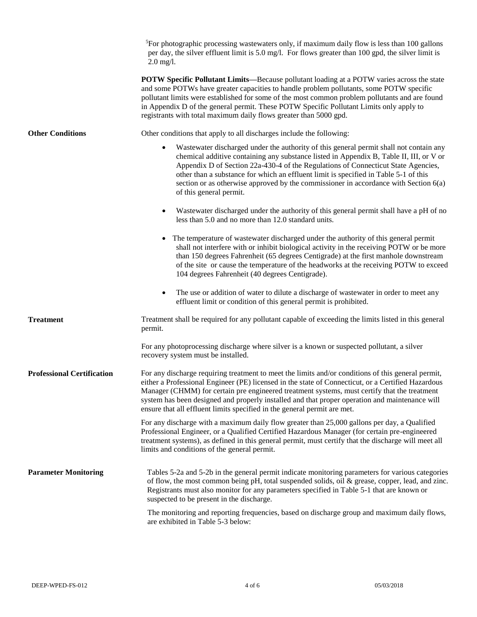|                                   | <sup>5</sup> For photographic processing wastewaters only, if maximum daily flow is less than 100 gallons<br>per day, the silver effluent limit is 5.0 mg/l. For flows greater than 100 gpd, the silver limit is<br>$2.0$ mg/l.<br><b>POTW Specific Pollutant Limits—Because pollutant loading at a POTW varies across the state</b>                                                                                                                                                           |
|-----------------------------------|------------------------------------------------------------------------------------------------------------------------------------------------------------------------------------------------------------------------------------------------------------------------------------------------------------------------------------------------------------------------------------------------------------------------------------------------------------------------------------------------|
|                                   | and some POTWs have greater capacities to handle problem pollutants, some POTW specific<br>pollutant limits were established for some of the most common problem pollutants and are found<br>in Appendix D of the general permit. These POTW Specific Pollutant Limits only apply to<br>registrants with total maximum daily flows greater than 5000 gpd.                                                                                                                                      |
| <b>Other Conditions</b>           | Other conditions that apply to all discharges include the following:                                                                                                                                                                                                                                                                                                                                                                                                                           |
|                                   | Wastewater discharged under the authority of this general permit shall not contain any<br>$\bullet$<br>chemical additive containing any substance listed in Appendix B, Table II, III, or V or<br>Appendix D of Section 22a-430-4 of the Regulations of Connecticut State Agencies,<br>other than a substance for which an effluent limit is specified in Table 5-1 of this<br>section or as otherwise approved by the commissioner in accordance with Section 6(a)<br>of this general permit. |
|                                   | Wastewater discharged under the authority of this general permit shall have a pH of no<br>٠<br>less than 5.0 and no more than 12.0 standard units.                                                                                                                                                                                                                                                                                                                                             |
|                                   | The temperature of wastewater discharged under the authority of this general permit<br>shall not interfere with or inhibit biological activity in the receiving POTW or be more<br>than 150 degrees Fahrenheit (65 degrees Centigrade) at the first manhole downstream<br>of the site or cause the temperature of the headworks at the receiving POTW to exceed<br>104 degrees Fahrenheit (40 degrees Centigrade).                                                                             |
|                                   | The use or addition of water to dilute a discharge of wastewater in order to meet any<br>$\bullet$<br>effluent limit or condition of this general permit is prohibited.                                                                                                                                                                                                                                                                                                                        |
| <b>Treatment</b>                  | Treatment shall be required for any pollutant capable of exceeding the limits listed in this general<br>permit.                                                                                                                                                                                                                                                                                                                                                                                |
|                                   | For any photoprocessing discharge where silver is a known or suspected pollutant, a silver<br>recovery system must be installed.                                                                                                                                                                                                                                                                                                                                                               |
| <b>Professional Certification</b> | For any discharge requiring treatment to meet the limits and/or conditions of this general permit,<br>either a Professional Engineer (PE) licensed in the state of Connecticut, or a Certified Hazardous<br>Manager (CHMM) for certain pre engineered treatment systems, must certify that the treatment<br>system has been designed and properly installed and that proper operation and maintenance will<br>ensure that all effluent limits specified in the general permit are met.         |
|                                   | For any discharge with a maximum daily flow greater than 25,000 gallons per day, a Qualified<br>Professional Engineer, or a Qualified Certified Hazardous Manager (for certain pre-engineered<br>treatment systems), as defined in this general permit, must certify that the discharge will meet all<br>limits and conditions of the general permit.                                                                                                                                          |
| <b>Parameter Monitoring</b>       | Tables 5-2a and 5-2b in the general permit indicate monitoring parameters for various categories<br>of flow, the most common being pH, total suspended solids, oil & grease, copper, lead, and zinc.<br>Registrants must also monitor for any parameters specified in Table 5-1 that are known or<br>suspected to be present in the discharge.                                                                                                                                                 |
|                                   | The monitoring and reporting frequencies, based on discharge group and maximum daily flows,<br>are exhibited in Table 5-3 below:                                                                                                                                                                                                                                                                                                                                                               |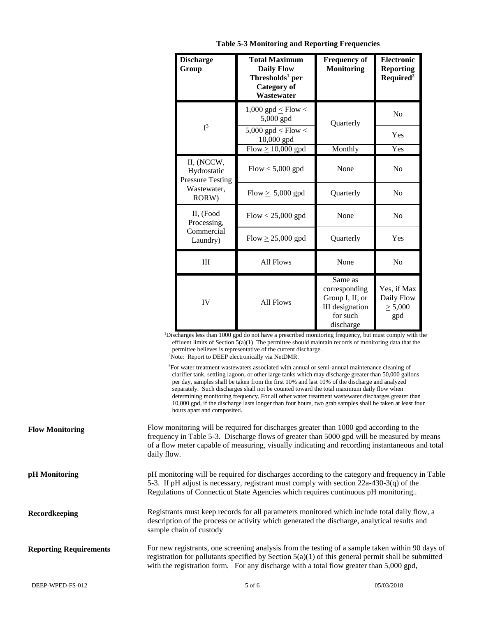| <b>Discharge</b><br>Group                                                    | <b>Total Maximum</b><br><b>Daily Flow</b><br>Thresholds <sup>1</sup> per<br><b>Category</b> of<br>Wastewater | <b>Frequency of</b><br><b>Monitoring</b>                                                       | <b>Electronic</b><br><b>Reporting</b><br>Required <sup>2</sup> |
|------------------------------------------------------------------------------|--------------------------------------------------------------------------------------------------------------|------------------------------------------------------------------------------------------------|----------------------------------------------------------------|
| $I^3$                                                                        | 1,000 gpd $\le$ Flow $<$<br>5,000 gpd                                                                        | Quarterly                                                                                      | N <sub>0</sub>                                                 |
|                                                                              | 5,000 gpd $\le$ Flow $<$<br>10,000 gpd                                                                       |                                                                                                | Yes                                                            |
|                                                                              | Flow $\geq 10,000$ gpd                                                                                       | Monthly                                                                                        | Yes                                                            |
| II, (NCCW,<br>Hydrostatic<br><b>Pressure Testing</b><br>Wastewater,<br>RORW) | $Flow < 5,000$ gpd                                                                                           | None                                                                                           | N <sub>o</sub>                                                 |
|                                                                              | Flow $\geq 5,000$ gpd                                                                                        | Quarterly                                                                                      | N <sub>o</sub>                                                 |
| II, (Food<br>Processing,                                                     | $Flow < 25,000$ gpd                                                                                          | None                                                                                           | N <sub>o</sub>                                                 |
| Commercial<br>Laundry)                                                       | $Flow > 25,000$ gpd                                                                                          | Quarterly                                                                                      | Yes                                                            |
| III                                                                          | <b>All Flows</b>                                                                                             | None                                                                                           | N <sub>o</sub>                                                 |
| IV                                                                           | <b>All Flows</b>                                                                                             | Same as<br>corresponding<br>Group I, II, or<br><b>III</b> designation<br>for such<br>discharge | Yes, if Max<br>Daily Flow<br>$\geq 5,000$<br>gpd               |

**Table 5-3 Monitoring and Reporting Frequencies**

effluent limits of Section 5(a)(1) The permittee should maintain records of monitoring data that the permittee believes is representative of the current discharge. <sup>2</sup>Note: Report to DEEP electronically via NetDMR.

<sup>3</sup>For water treatment wastewaters associated with annual or semi-annual maintenance cleaning of clarifier tank, settling lagoon, or other large tanks which may discharge greater than 50,000 gallons per day, samples shall be taken from the first 10% and last 10% of the discharge and analyzed separately. Such discharges shall not be counted toward the total maximum daily flow when determining monitoring frequency. For all other water treatment wastewater discharges greater than 10,000 gpd, if the discharge lasts longer than four hours, two grab samples shall be taken at least four hours apart and composited.

| <b>Flow Monitoring</b> | Flow monitoring will be required for discharges greater than 1000 gpd according to the<br>frequency in Table 5-3. Discharge flows of greater than 5000 gpd will be measured by means<br>of a flow meter capable of measuring, visually indicating and recording instantaneous and total<br>daily flow. |
|------------------------|--------------------------------------------------------------------------------------------------------------------------------------------------------------------------------------------------------------------------------------------------------------------------------------------------------|
|                        |                                                                                                                                                                                                                                                                                                        |

**pH Monitoring** pH monitoring will be required for discharges according to the category and frequency in Table 5-3. If pH adjust is necessary, registrant must comply with section 22a-430-3(q) of the Regulations of Connecticut State Agencies which requires continuous pH monitoring..

**Recordkeeping**

Registrants must keep records for all parameters monitored which include total daily flow, a description of the process or activity which generated the discharge, analytical results and sample chain of custody

**Reporting Requirements**  For new registrants, one screening analysis from the testing of a sample taken within 90 days of registration for pollutants specified by Section  $5(a)(1)$  of this general permit shall be submitted with the registration form. For any discharge with a total flow greater than 5,000 gpd,